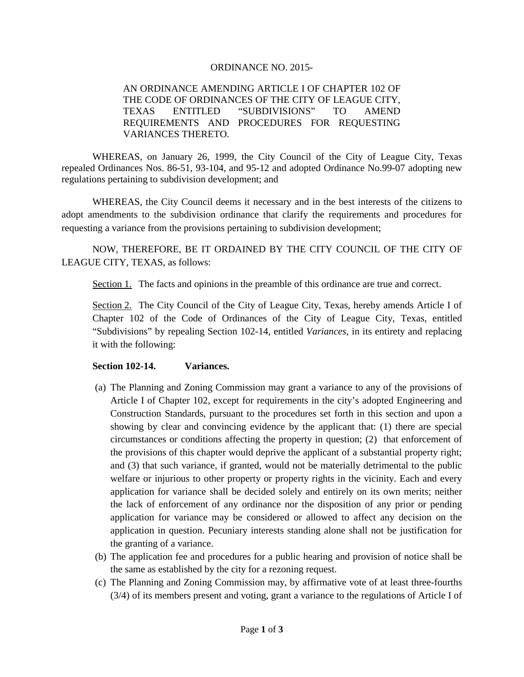## ORDINANCE NO. 2015-

## AN ORDINANCE AMENDING ARTICLE I OF CHAPTER 102 OF THE CODE OF ORDINANCES OF THE CITY OF LEAGUE CITY, TEXAS ENTITLED "SUBDIVISIONS" TO AMEND REQUIREMENTS AND PROCEDURES FOR REQUESTING VARIANCES THERETO.

WHEREAS, on January 26, 1999, the City Council of the City of League City, Texas repealed Ordinances Nos. 86-51, 93-104, and 95-12 and adopted Ordinance No.99-07 adopting new regulations pertaining to subdivision development; and

WHEREAS, the City Council deems it necessary and in the best interests of the citizens to adopt amendments to the subdivision ordinance that clarify the requirements and procedures for requesting a variance from the provisions pertaining to subdivision development;

NOW, THEREFORE, BE IT ORDAINED BY THE CITY COUNCIL OF THE CITY OF LEAGUE CITY, TEXAS, as follows:

Section 1. The facts and opinions in the preamble of this ordinance are true and correct.

Section 2. The City Council of the City of League City, Texas, hereby amends Article I of Chapter 102 of the Code of Ordinances of the City of League City, Texas, entitled "Subdivisions" by repealing Section 102-14, entitled *Variances*, in its entirety and replacing it with the following:

## **Section 102-14. Variances.**

- (a) The Planning and Zoning Commission may grant a variance to any of the provisions of Article I of Chapter 102, except for requirements in the city's adopted Engineering and Construction Standards, pursuant to the procedures set forth in this section and upon a showing by clear and convincing evidence by the applicant that: (1) there are special circumstances or conditions affecting the property in question; (2) that enforcement of the provisions of this chapter would deprive the applicant of a substantial property right; and (3) that such variance, if granted, would not be materially detrimental to the public welfare or injurious to other property or property rights in the vicinity. Each and every application for variance shall be decided solely and entirely on its own merits; neither the lack of enforcement of any ordinance nor the disposition of any prior or pending application for variance may be considered or allowed to affect any decision on the application in question. Pecuniary interests standing alone shall not be justification for the granting of a variance.
- (b) The application fee and procedures for a public hearing and provision of notice shall be the same as established by the city for a rezoning request.
- (c) The Planning and Zoning Commission may, by affirmative vote of at least three-fourths (3/4) of its members present and voting, grant a variance to the regulations of Article I of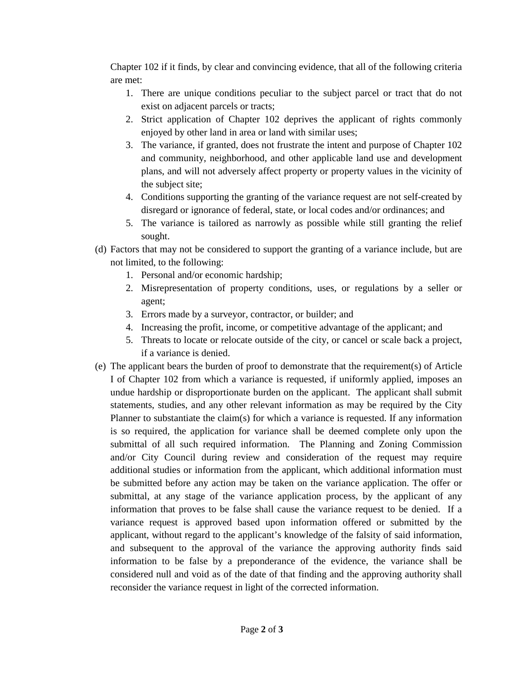Chapter 102 if it finds, by clear and convincing evidence, that all of the following criteria are met:

- 1. There are unique conditions peculiar to the subject parcel or tract that do not exist on adjacent parcels or tracts;
- 2. Strict application of Chapter 102 deprives the applicant of rights commonly enjoyed by other land in area or land with similar uses;
- 3. The variance, if granted, does not frustrate the intent and purpose of Chapter 102 and community, neighborhood, and other applicable land use and development plans, and will not adversely affect property or property values in the vicinity of the subject site;
- 4. Conditions supporting the granting of the variance request are not self-created by disregard or ignorance of federal, state, or local codes and/or ordinances; and
- 5. The variance is tailored as narrowly as possible while still granting the relief sought.
- (d) Factors that may not be considered to support the granting of a variance include, but are not limited, to the following:
	- 1. Personal and/or economic hardship;
	- 2. Misrepresentation of property conditions, uses, or regulations by a seller or agent;
	- 3. Errors made by a surveyor, contractor, or builder; and
	- 4. Increasing the profit, income, or competitive advantage of the applicant; and
	- 5. Threats to locate or relocate outside of the city, or cancel or scale back a project, if a variance is denied.
- (e) The applicant bears the burden of proof to demonstrate that the requirement(s) of Article I of Chapter 102 from which a variance is requested, if uniformly applied, imposes an undue hardship or disproportionate burden on the applicant. The applicant shall submit statements, studies, and any other relevant information as may be required by the City Planner to substantiate the claim(s) for which a variance is requested. If any information is so required, the application for variance shall be deemed complete only upon the submittal of all such required information. The Planning and Zoning Commission and/or City Council during review and consideration of the request may require additional studies or information from the applicant, which additional information must be submitted before any action may be taken on the variance application. The offer or submittal, at any stage of the variance application process, by the applicant of any information that proves to be false shall cause the variance request to be denied. If a variance request is approved based upon information offered or submitted by the applicant, without regard to the applicant's knowledge of the falsity of said information, and subsequent to the approval of the variance the approving authority finds said information to be false by a preponderance of the evidence, the variance shall be considered null and void as of the date of that finding and the approving authority shall reconsider the variance request in light of the corrected information.